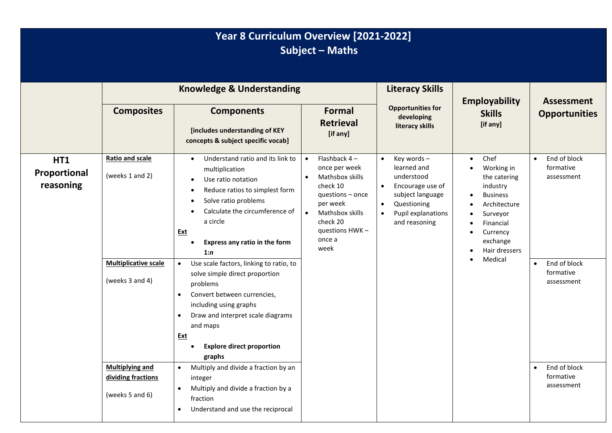|                                         | Year 8 Curriculum Overview [2021-2022]<br><b>Subject - Maths</b>                            |                                                                                                                                                                                                                                                                                                                                                                                                                                                                                                                                                                             |                                                                                                                                                                                                        |                                                                                                                                                                              |                                                                                                                                                                             |                                                                                                              |  |
|-----------------------------------------|---------------------------------------------------------------------------------------------|-----------------------------------------------------------------------------------------------------------------------------------------------------------------------------------------------------------------------------------------------------------------------------------------------------------------------------------------------------------------------------------------------------------------------------------------------------------------------------------------------------------------------------------------------------------------------------|--------------------------------------------------------------------------------------------------------------------------------------------------------------------------------------------------------|------------------------------------------------------------------------------------------------------------------------------------------------------------------------------|-----------------------------------------------------------------------------------------------------------------------------------------------------------------------------|--------------------------------------------------------------------------------------------------------------|--|
|                                         |                                                                                             | <b>Knowledge &amp; Understanding</b>                                                                                                                                                                                                                                                                                                                                                                                                                                                                                                                                        |                                                                                                                                                                                                        | <b>Literacy Skills</b>                                                                                                                                                       | <b>Employability</b>                                                                                                                                                        | <b>Assessment</b>                                                                                            |  |
|                                         | <b>Composites</b>                                                                           | <b>Components</b><br>[includes understanding of KEY<br>concepts & subject specific vocab]                                                                                                                                                                                                                                                                                                                                                                                                                                                                                   | <b>Formal</b><br><b>Retrieval</b><br>[if any]                                                                                                                                                          | <b>Opportunities for</b><br>developing<br>literacy skills                                                                                                                    | <b>Skills</b><br>[if any]                                                                                                                                                   | <b>Opportunities</b>                                                                                         |  |
| <b>HT1</b><br>Proportional<br>reasoning | <b>Ratio and scale</b><br>(weeks 1 and 2)<br><b>Multiplicative scale</b><br>(weeks 3 and 4) | Understand ratio and its link to<br>$\bullet$<br>multiplication<br>Use ratio notation<br>$\bullet$<br>Reduce ratios to simplest form<br>Solve ratio problems<br>٠<br>Calculate the circumference of<br>a circle<br><u>Ext</u><br>Express any ratio in the form<br>1:n<br>Use scale factors, linking to ratio, to<br>$\bullet$<br>solve simple direct proportion<br>problems<br>Convert between currencies,<br>$\bullet$<br>including using graphs<br>Draw and interpret scale diagrams<br>$\bullet$<br>and maps<br><u>Ext</u><br><b>Explore direct proportion</b><br>graphs | Flashback 4-<br>$\bullet$<br>once per week<br>Mathsbox skills<br>$\bullet$<br>check 10<br>questions - once<br>per week<br>Mathsbox skills<br>$\bullet$<br>check 20<br>questions HWK-<br>once a<br>week | Key words-<br>$\bullet$<br>learned and<br>understood<br>Encourage use of<br>subject language<br>Questioning<br>$\bullet$<br>Pupil explanations<br>$\bullet$<br>and reasoning | Chef<br>$\bullet$<br>Working in<br>the catering<br>industry<br><b>Business</b><br>Architecture<br>Surveyor<br>Financial<br>Currency<br>exchange<br>Hair dressers<br>Medical | End of block<br>$\bullet$<br>formative<br>assessment<br>End of block<br>$\bullet$<br>formative<br>assessment |  |
|                                         | <b>Multiplying and</b><br>dividing fractions<br>(weeks 5 and 6)                             | Multiply and divide a fraction by an<br>$\bullet$<br>integer<br>Multiply and divide a fraction by a<br>$\bullet$<br>fraction<br>Understand and use the reciprocal<br>$\bullet$                                                                                                                                                                                                                                                                                                                                                                                              |                                                                                                                                                                                                        |                                                                                                                                                                              |                                                                                                                                                                             | End of block<br>$\bullet$<br>formative<br>assessment                                                         |  |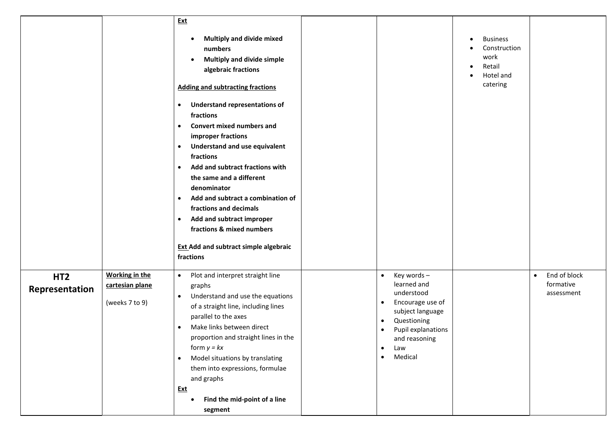|                                   |                                                            | <b>Ext</b><br>Multiply and divide mixed<br>$\bullet$<br>numbers<br><b>Multiply and divide simple</b><br>$\bullet$<br>algebraic fractions<br><b>Adding and subtracting fractions</b><br><b>Understand representations of</b><br>$\bullet$<br>fractions<br><b>Convert mixed numbers and</b><br>$\bullet$<br>improper fractions<br><b>Understand and use equivalent</b><br>$\bullet$<br>fractions<br>Add and subtract fractions with<br>$\bullet$<br>the same and a different<br>denominator<br>Add and subtract a combination of<br>$\bullet$<br>fractions and decimals<br>Add and subtract improper<br>$\bullet$<br>fractions & mixed numbers<br><b>Ext Add and subtract simple algebraic</b><br>fractions |                                                                                                                                                                                                                                       | <b>Business</b><br>Construction<br>work<br>Retail<br>Hotel and<br>catering |                                                      |
|-----------------------------------|------------------------------------------------------------|-----------------------------------------------------------------------------------------------------------------------------------------------------------------------------------------------------------------------------------------------------------------------------------------------------------------------------------------------------------------------------------------------------------------------------------------------------------------------------------------------------------------------------------------------------------------------------------------------------------------------------------------------------------------------------------------------------------|---------------------------------------------------------------------------------------------------------------------------------------------------------------------------------------------------------------------------------------|----------------------------------------------------------------------------|------------------------------------------------------|
| HT <sub>2</sub><br>Representation | <b>Working in the</b><br>cartesian plane<br>(weeks 7 to 9) | Plot and interpret straight line<br>$\bullet$<br>graphs<br>Understand and use the equations<br>$\bullet$<br>of a straight line, including lines<br>parallel to the axes<br>Make links between direct<br>$\bullet$<br>proportion and straight lines in the<br>form $y = kx$<br>Model situations by translating<br>$\bullet$<br>them into expressions, formulae<br>and graphs<br><b>Ext</b><br>Find the mid-point of a line<br>٠<br>segment                                                                                                                                                                                                                                                                 | Key words-<br>$\bullet$<br>learned and<br>understood<br>Encourage use of<br>$\bullet$<br>subject language<br>Questioning<br>$\bullet$<br>Pupil explanations<br>$\bullet$<br>and reasoning<br>Law<br>$\bullet$<br>Medical<br>$\bullet$ |                                                                            | End of block<br>$\bullet$<br>formative<br>assessment |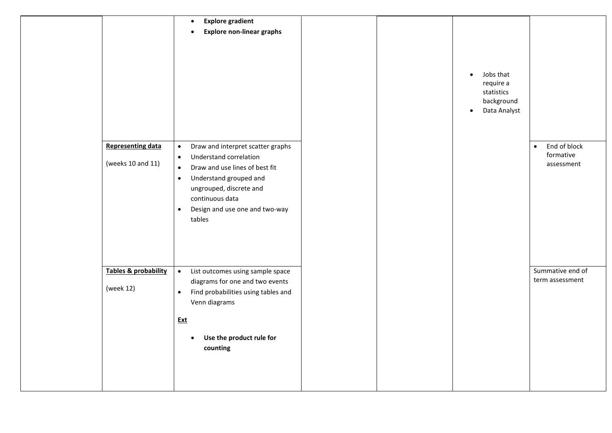|                                               | <b>Explore gradient</b><br>$\bullet$<br><b>Explore non-linear graphs</b><br>$\bullet$                                                                                                                                                                                   |  |                                                                                              |                                                      |
|-----------------------------------------------|-------------------------------------------------------------------------------------------------------------------------------------------------------------------------------------------------------------------------------------------------------------------------|--|----------------------------------------------------------------------------------------------|------------------------------------------------------|
|                                               |                                                                                                                                                                                                                                                                         |  | Jobs that<br>$\bullet$<br>require a<br>statistics<br>background<br>Data Analyst<br>$\bullet$ |                                                      |
| <b>Representing data</b><br>(weeks 10 and 11) | Draw and interpret scatter graphs<br>$\bullet$<br>Understand correlation<br>$\bullet$<br>Draw and use lines of best fit<br>$\bullet$<br>Understand grouped and<br>$\bullet$<br>ungrouped, discrete and<br>continuous data<br>• Design and use one and two-way<br>tables |  |                                                                                              | End of block<br>$\bullet$<br>formative<br>assessment |
| Tables & probability<br>(week 12)             | • List outcomes using sample space<br>diagrams for one and two events<br>• Find probabilities using tables and<br>Venn diagrams<br><b>Ext</b><br>Use the product rule for<br>$\bullet$<br>counting                                                                      |  |                                                                                              | Summative end of<br>term assessment                  |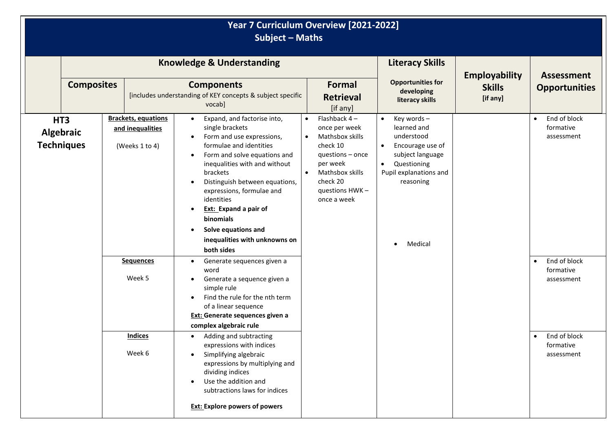| Year 7 Curriculum Overview [2021-2022]<br><b>Subject - Maths</b> |                                       |  |                                                                  |                                                                                                                                                                                                                                                                                                                                                                                                        |                                                                                                                                                                                          |                                                                                                                                                                                         |                           |                                                      |
|------------------------------------------------------------------|---------------------------------------|--|------------------------------------------------------------------|--------------------------------------------------------------------------------------------------------------------------------------------------------------------------------------------------------------------------------------------------------------------------------------------------------------------------------------------------------------------------------------------------------|------------------------------------------------------------------------------------------------------------------------------------------------------------------------------------------|-----------------------------------------------------------------------------------------------------------------------------------------------------------------------------------------|---------------------------|------------------------------------------------------|
|                                                                  |                                       |  |                                                                  | <b>Knowledge &amp; Understanding</b>                                                                                                                                                                                                                                                                                                                                                                   |                                                                                                                                                                                          | <b>Literacy Skills</b>                                                                                                                                                                  | <b>Employability</b>      | <b>Assessment</b>                                    |
|                                                                  | <b>Composites</b>                     |  |                                                                  | <b>Components</b><br>[includes understanding of KEY concepts & subject specific<br>vocab]                                                                                                                                                                                                                                                                                                              | Formal<br><b>Retrieval</b><br>[if any]                                                                                                                                                   | <b>Opportunities for</b><br>developing<br>literacy skills                                                                                                                               | <b>Skills</b><br>[if any] | <b>Opportunities</b>                                 |
| HT <sub>3</sub>                                                  | <b>Algebraic</b><br><b>Techniques</b> |  | <b>Brackets, equations</b><br>and inequalities<br>(Weeks 1 to 4) | Expand, and factorise into,<br>$\bullet$<br>single brackets<br>Form and use expressions,<br>formulae and identities<br>Form and solve equations and<br>$\bullet$<br>inequalities with and without<br>brackets<br>Distinguish between equations,<br>expressions, formulae and<br>identities<br>Ext: Expand a pair of<br>binomials<br>Solve equations and<br>inequalities with unknowns on<br>both sides | Flashback $4-$<br>once per week<br>Mathsbox skills<br>$\bullet$<br>check 10<br>questions - once<br>per week<br>Mathsbox skills<br>$\bullet$<br>check 20<br>questions HWK-<br>once a week | Key words-<br>$\bullet$<br>learned and<br>understood<br>Encourage use of<br>$\bullet$<br>subject language<br>Questioning<br>$\bullet$<br>Pupil explanations and<br>reasoning<br>Medical |                           | End of block<br>$\bullet$<br>formative<br>assessment |
|                                                                  |                                       |  | <b>Sequences</b><br>Week 5                                       | Generate sequences given a<br>word<br>Generate a sequence given a<br>simple rule<br>Find the rule for the nth term<br>of a linear sequence<br>Ext: Generate sequences given a<br>complex algebraic rule                                                                                                                                                                                                |                                                                                                                                                                                          |                                                                                                                                                                                         |                           | End of block<br>$\bullet$<br>formative<br>assessment |
|                                                                  |                                       |  | <b>Indices</b><br>Week 6                                         | Adding and subtracting<br>$\bullet$<br>expressions with indices<br>Simplifying algebraic<br>expressions by multiplying and<br>dividing indices<br>Use the addition and<br>subtractions laws for indices<br><b>Ext: Explore powers of powers</b>                                                                                                                                                        |                                                                                                                                                                                          |                                                                                                                                                                                         |                           | End of block<br>$\bullet$<br>formative<br>assessment |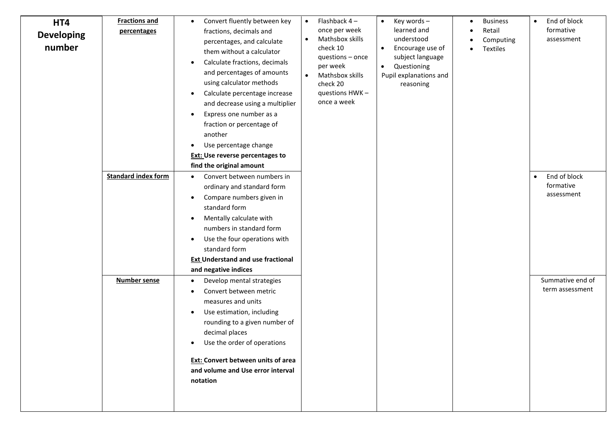| HT4<br><b>Developing</b><br>number | <b>Fractions and</b><br>percentages<br><b>Standard index form</b><br><b>Number sense</b> | Convert fluently between key<br>$\bullet$<br>fractions, decimals and<br>percentages, and calculate<br>them without a calculator<br>Calculate fractions, decimals<br>$\bullet$<br>and percentages of amounts<br>using calculator methods<br>Calculate percentage increase<br>$\bullet$<br>and decrease using a multiplier<br>Express one number as a<br>$\bullet$<br>fraction or percentage of<br>another<br>Use percentage change<br>$\bullet$<br><b>Ext: Use reverse percentages to</b><br>find the original amount<br>Convert between numbers in<br>$\bullet$<br>ordinary and standard form<br>Compare numbers given in<br>$\bullet$<br>standard form<br>Mentally calculate with<br>$\bullet$<br>numbers in standard form<br>Use the four operations with<br>$\bullet$<br>standard form<br><b>Ext Understand and use fractional</b><br>and negative indices<br>Develop mental strategies<br>$\bullet$<br>Convert between metric<br>$\bullet$<br>measures and units<br>Use estimation, including<br>$\bullet$<br>rounding to a given number of<br>decimal places<br>Use the order of operations<br>٠<br><b>Ext: Convert between units of area</b><br>and volume and Use error interval<br>notation | Flashback 4-<br>$\bullet$<br>once per week<br>Mathsbox skills<br>$\bullet$<br>check 10<br>questions - once<br>per week<br>Mathsbox skills<br>$\bullet$<br>check 20<br>questions HWK-<br>once a week | Key words -<br>$\bullet$<br>learned and<br>understood<br>Encourage use of<br>$\bullet$<br>subject language<br>Questioning<br>$\bullet$<br>Pupil explanations and<br>reasoning | <b>Business</b><br>$\bullet$<br>Retail<br>Computing<br>Textiles | End of block<br>$\bullet$<br>formative<br>assessment<br>End of block<br>$\bullet$<br>formative<br>assessment<br>Summative end of<br>term assessment |
|------------------------------------|------------------------------------------------------------------------------------------|-----------------------------------------------------------------------------------------------------------------------------------------------------------------------------------------------------------------------------------------------------------------------------------------------------------------------------------------------------------------------------------------------------------------------------------------------------------------------------------------------------------------------------------------------------------------------------------------------------------------------------------------------------------------------------------------------------------------------------------------------------------------------------------------------------------------------------------------------------------------------------------------------------------------------------------------------------------------------------------------------------------------------------------------------------------------------------------------------------------------------------------------------------------------------------------------------------|-----------------------------------------------------------------------------------------------------------------------------------------------------------------------------------------------------|-------------------------------------------------------------------------------------------------------------------------------------------------------------------------------|-----------------------------------------------------------------|-----------------------------------------------------------------------------------------------------------------------------------------------------|
|------------------------------------|------------------------------------------------------------------------------------------|-----------------------------------------------------------------------------------------------------------------------------------------------------------------------------------------------------------------------------------------------------------------------------------------------------------------------------------------------------------------------------------------------------------------------------------------------------------------------------------------------------------------------------------------------------------------------------------------------------------------------------------------------------------------------------------------------------------------------------------------------------------------------------------------------------------------------------------------------------------------------------------------------------------------------------------------------------------------------------------------------------------------------------------------------------------------------------------------------------------------------------------------------------------------------------------------------------|-----------------------------------------------------------------------------------------------------------------------------------------------------------------------------------------------------|-------------------------------------------------------------------------------------------------------------------------------------------------------------------------------|-----------------------------------------------------------------|-----------------------------------------------------------------------------------------------------------------------------------------------------|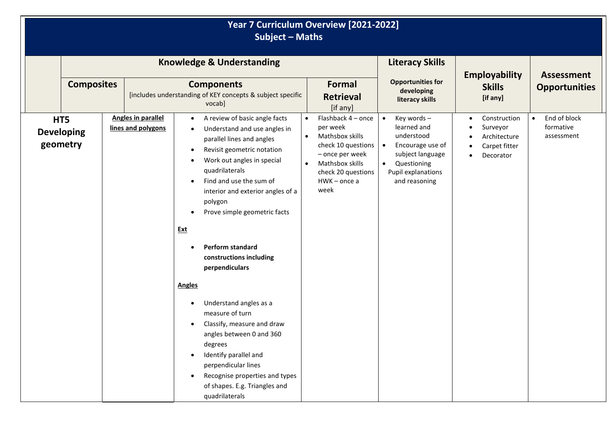| Year 7 Curriculum Overview [2021-2022]<br><b>Subject - Maths</b> |  |                                                 |                                                                                           |                                                                                                                                                                                                                                                                                                                                                                                                                                                                                                                                                                                                             |           |                                                                                                                                                           |                                                                                                                                                                 |                                                                        |                                           |
|------------------------------------------------------------------|--|-------------------------------------------------|-------------------------------------------------------------------------------------------|-------------------------------------------------------------------------------------------------------------------------------------------------------------------------------------------------------------------------------------------------------------------------------------------------------------------------------------------------------------------------------------------------------------------------------------------------------------------------------------------------------------------------------------------------------------------------------------------------------------|-----------|-----------------------------------------------------------------------------------------------------------------------------------------------------------|-----------------------------------------------------------------------------------------------------------------------------------------------------------------|------------------------------------------------------------------------|-------------------------------------------|
|                                                                  |  |                                                 |                                                                                           | <b>Knowledge &amp; Understanding</b>                                                                                                                                                                                                                                                                                                                                                                                                                                                                                                                                                                        |           |                                                                                                                                                           | <b>Literacy Skills</b>                                                                                                                                          |                                                                        |                                           |
| <b>Composites</b>                                                |  |                                                 | <b>Components</b><br>[includes understanding of KEY concepts & subject specific<br>vocab] |                                                                                                                                                                                                                                                                                                                                                                                                                                                                                                                                                                                                             |           | <b>Formal</b><br><b>Retrieval</b><br>[if any]                                                                                                             | <b>Opportunities for</b><br>developing<br>literacy skills                                                                                                       | <b>Employability</b><br><b>Skills</b><br>[if any]                      | <b>Assessment</b><br><b>Opportunities</b> |
| HT5<br><b>Developing</b><br>geometry                             |  | <b>Angles in parallel</b><br>lines and polygons | $\bullet$<br><b>Ext</b><br><b>Angles</b>                                                  | A review of basic angle facts<br>Understand and use angles in<br>parallel lines and angles<br>Revisit geometric notation<br>Work out angles in special<br>quadrilaterals<br>Find and use the sum of<br>interior and exterior angles of a<br>polygon<br>Prove simple geometric facts<br>Perform standard<br>constructions including<br>perpendiculars<br>Understand angles as a<br>measure of turn<br>Classify, measure and draw<br>angles between 0 and 360<br>degrees<br>Identify parallel and<br>perpendicular lines<br>Recognise properties and types<br>of shapes. E.g. Triangles and<br>quadrilaterals | $\bullet$ | Flashback 4 - once<br>per week<br>Mathsbox skills<br>check 10 questions<br>- once per week<br>Mathsbox skills<br>check 20 questions<br>HWK-once a<br>week | Key words-<br>learned and<br>understood<br>Encourage use of<br>$\bullet$<br>subject language<br>Questioning<br>$\bullet$<br>Pupil explanations<br>and reasoning | Construction<br>Surveyor<br>Architecture<br>Carpet fitter<br>Decorator | End of block<br>formative<br>assessment   |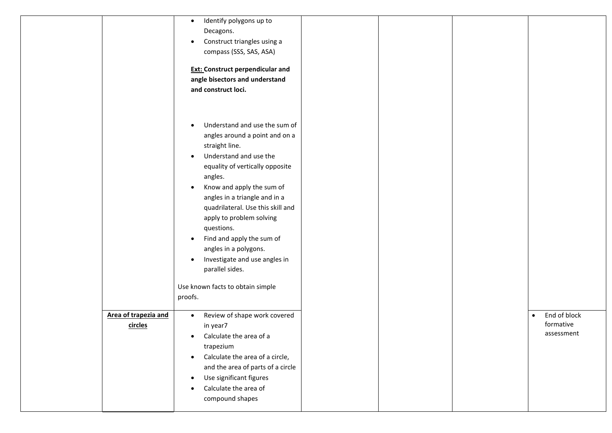|                      | Identify polygons up to<br>$\bullet$         |  |                           |
|----------------------|----------------------------------------------|--|---------------------------|
|                      | Decagons.                                    |  |                           |
|                      | Construct triangles using a                  |  |                           |
|                      | compass (SSS, SAS, ASA)                      |  |                           |
|                      |                                              |  |                           |
|                      | <b>Ext: Construct perpendicular and</b>      |  |                           |
|                      | angle bisectors and understand               |  |                           |
|                      | and construct loci.                          |  |                           |
|                      |                                              |  |                           |
|                      |                                              |  |                           |
|                      | Understand and use the sum of                |  |                           |
|                      | angles around a point and on a               |  |                           |
|                      | straight line.                               |  |                           |
|                      | Understand and use the<br>$\bullet$          |  |                           |
|                      | equality of vertically opposite              |  |                           |
|                      | angles.                                      |  |                           |
|                      | Know and apply the sum of                    |  |                           |
|                      | angles in a triangle and in a                |  |                           |
|                      | quadrilateral. Use this skill and            |  |                           |
|                      | apply to problem solving                     |  |                           |
|                      |                                              |  |                           |
|                      | questions.                                   |  |                           |
|                      | Find and apply the sum of<br>$\bullet$       |  |                           |
|                      | angles in a polygons.                        |  |                           |
|                      | Investigate and use angles in<br>٠           |  |                           |
|                      | parallel sides.                              |  |                           |
|                      | Use known facts to obtain simple             |  |                           |
|                      | proofs.                                      |  |                           |
|                      |                                              |  |                           |
| Area of trapezia and | Review of shape work covered<br>$\bullet$    |  | End of block<br>$\bullet$ |
| circles              | in year7                                     |  | formative                 |
|                      | Calculate the area of a<br>$\bullet$         |  | assessment                |
|                      | trapezium                                    |  |                           |
|                      | Calculate the area of a circle,<br>$\bullet$ |  |                           |
|                      | and the area of parts of a circle            |  |                           |
|                      | Use significant figures<br>$\bullet$         |  |                           |
|                      | Calculate the area of                        |  |                           |
|                      | compound shapes                              |  |                           |
|                      |                                              |  |                           |
|                      |                                              |  |                           |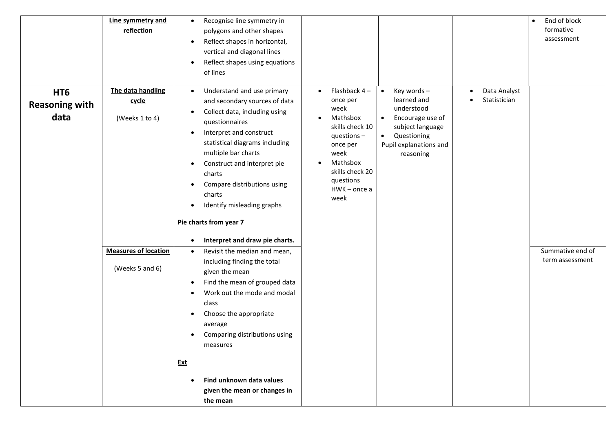|                                                  | Line symmetry and<br>reflection                | Recognise line symmetry in<br>$\bullet$<br>polygons and other shapes<br>Reflect shapes in horizontal,<br>$\bullet$<br>vertical and diagonal lines<br>Reflect shapes using equations<br>of lines                                                                                                                                                                                                                       |                                                                                                                                                                                                                 |                                                                                                                                                                              |                              | End of block<br>$\bullet$<br>formative<br>assessment |
|--------------------------------------------------|------------------------------------------------|-----------------------------------------------------------------------------------------------------------------------------------------------------------------------------------------------------------------------------------------------------------------------------------------------------------------------------------------------------------------------------------------------------------------------|-----------------------------------------------------------------------------------------------------------------------------------------------------------------------------------------------------------------|------------------------------------------------------------------------------------------------------------------------------------------------------------------------------|------------------------------|------------------------------------------------------|
| HT <sub>6</sub><br><b>Reasoning with</b><br>data | The data handling<br>cycle<br>(Weeks 1 to 4)   | Understand and use primary<br>$\bullet$<br>and secondary sources of data<br>Collect data, including using<br>questionnaires<br>Interpret and construct<br>statistical diagrams including<br>multiple bar charts<br>Construct and interpret pie<br>$\bullet$<br>charts<br>Compare distributions using<br>charts<br>Identify misleading graphs<br>Pie charts from year 7<br>Interpret and draw pie charts.<br>$\bullet$ | Flashback $4-$<br>$\bullet$<br>once per<br>week<br>Mathsbox<br>$\bullet$<br>skills check 10<br>questions $-$<br>once per<br>week<br>Mathsbox<br>$\bullet$<br>skills check 20<br>questions<br>HWK-once a<br>week | Key words-<br>$\bullet$<br>learned and<br>understood<br>Encourage use of<br>$\bullet$<br>subject language<br>Questioning<br>$\bullet$<br>Pupil explanations and<br>reasoning | Data Analyst<br>Statistician |                                                      |
|                                                  | <b>Measures of location</b><br>(Weeks 5 and 6) | Revisit the median and mean,<br>$\bullet$<br>including finding the total<br>given the mean<br>Find the mean of grouped data<br>Work out the mode and modal<br>class<br>Choose the appropriate<br>٠<br>average<br>Comparing distributions using<br>measures<br><u>Ext</u><br>Find unknown data values<br>given the mean or changes in<br>the mean                                                                      |                                                                                                                                                                                                                 |                                                                                                                                                                              |                              | Summative end of<br>term assessment                  |